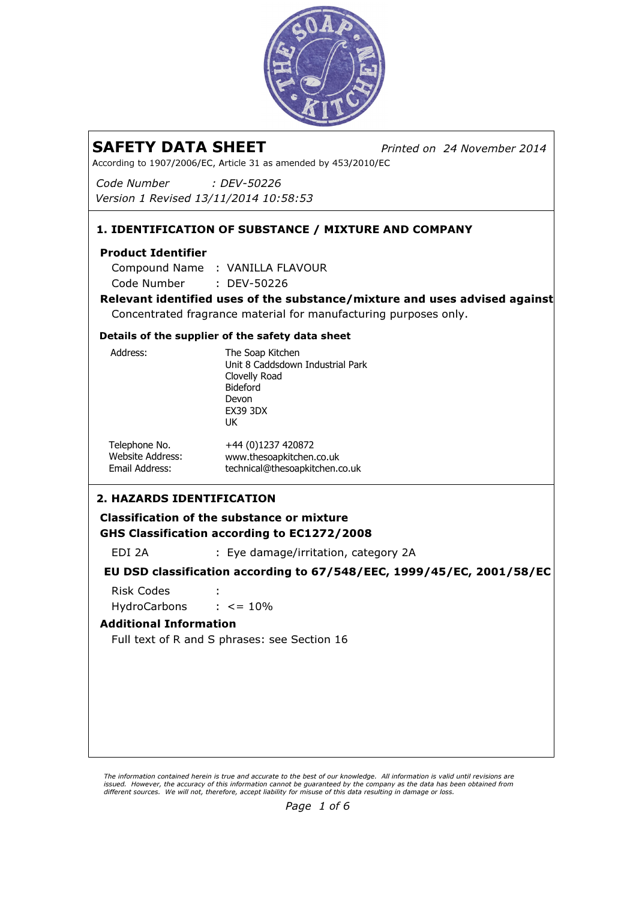

Printed on 24 November 2014

According to 1907/2006/EC, Article 31 as amended by 453/2010/EC

Code Number Version 1 Revised 13/11/2014 10:58:53 : DEV-50226

## 1. IDENTIFICATION OF SUBSTANCE / MIXTURE AND COMPANY

### Product Identifier

: DEV-50226 Compound Name : VANILLA FLAVOUR Code Number

Relevant identified uses of the substance/mixture and uses advised against Concentrated fragrance material for manufacturing purposes only.

#### Details of the supplier of the safety data sheet

2. HAZARDS IDENTIFICATION Classification of the substance or mixture GHS Classification according to EC1272/2008 EDI 2A : Eye damage/irritation, category 2A EU DSD classification according to 67/548/EEC, 1999/45/EC, 2001/58/EC Risk Codes : HydroCarbons : <= 10% The Soap Kitchen Unit 8 Caddsdown Industrial Park Clovelly Road Bideford Devon EX39 3DX UK +44 (0)1237 420872 www.thesoapkitchen.co.uk technical@thesoapkitchen.co.uk Address: Telephone No. Website Address: Email Address:

## Additional Information

Full text of R and S phrases: see Section 16

The information contained herein is true and accurate to the best of our knowledge. All information is valid until revisions are issued. However, the accuracy of this information cannot be guaranteed by the company as the data has been obtained from<br>different sources. We will not, therefore, accept liability for misuse of this data resulting in da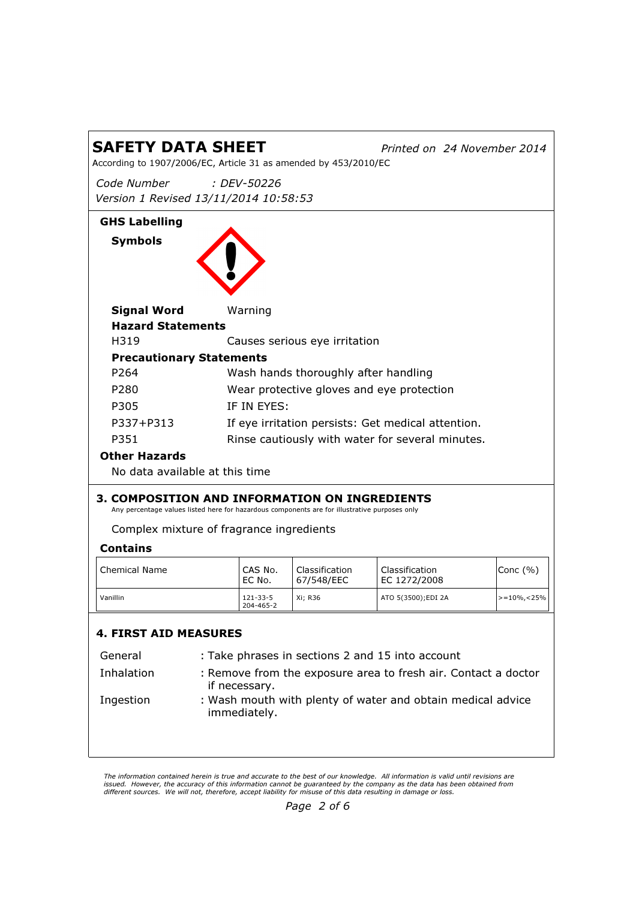Printed on 24 November 2014

According to 1907/2006/EC, Article 31 as amended by 453/2010/EC

Code Number Version 1 Revised 13/11/2014 10:58:53 : DEV-50226

## GHS Labelling Symbols



| Signal Word                     | Warning                                            |
|---------------------------------|----------------------------------------------------|
| <b>Hazard Statements</b>        |                                                    |
| H319                            | Causes serious eye irritation                      |
| <b>Precautionary Statements</b> |                                                    |
| P <sub>264</sub>                | Wash hands thoroughly after handling               |
| P <sub>280</sub>                | Wear protective gloves and eye protection          |
| P305                            | IF IN EYES:                                        |
| P337+P313                       | If eye irritation persists: Get medical attention. |
| P351                            | Rinse cautiously with water for several minutes.   |
| Other Hazards                   |                                                    |

No data available at this time

## 3. COMPOSITION AND INFORMATION ON INGREDIENTS

Any percentage values listed here for hazardous components are for illustrative purposes only

Complex mixture of fragrance ingredients

## Contains

| Chemical Name | CAS No.<br>EC No.           | Classification<br>67/548/EEC | Classification<br>EC 1272/2008 | Conc(%)                     |
|---------------|-----------------------------|------------------------------|--------------------------------|-----------------------------|
| Vanillin      | $121 - 33 - 5$<br>204-465-2 | Xi: R36                      | ATO 5(3500); EDI 2A            | $\vert$ >=10%, <25% $\vert$ |

## 4. FIRST AID MEASURES

| General    | : Take phrases in sections 2 and 15 into account                                |
|------------|---------------------------------------------------------------------------------|
| Inhalation | : Remove from the exposure area to fresh air. Contact a doctor<br>if necessary. |
| Ingestion  | : Wash mouth with plenty of water and obtain medical advice<br>immediately.     |

The information contained herein is true and accurate to the best of our knowledge. All information is valid until revisions are issued. However, the accuracy of this information cannot be guaranteed by the company as the data has been obtained from<br>different sources. We will not, therefore, accept liability for misuse of this data resulting in da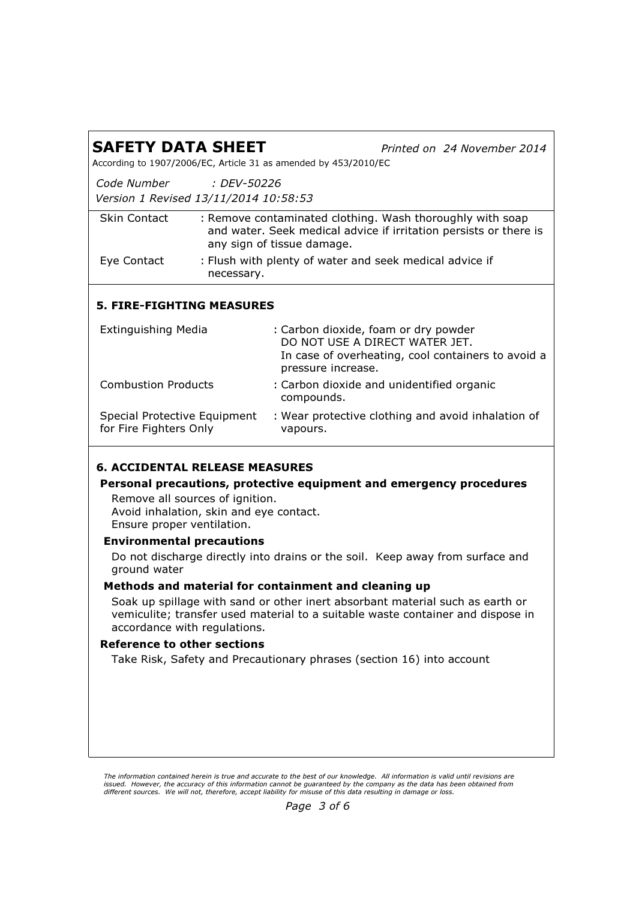| <b>SAFETY DATA SHEET</b><br>According to 1907/2006/EC, Article 31 as amended by 453/2010/EC              |             |                                                      | Printed on 24 November 2014                                                                                                                                      |
|----------------------------------------------------------------------------------------------------------|-------------|------------------------------------------------------|------------------------------------------------------------------------------------------------------------------------------------------------------------------|
| Code Number<br>Version 1 Revised 13/11/2014 10:58:53                                                     | : DEV-50226 |                                                      |                                                                                                                                                                  |
| <b>Skin Contact</b>                                                                                      |             | any sign of tissue damage.                           | : Remove contaminated clothing. Wash thoroughly with soap<br>and water. Seek medical advice if irritation persists or there is                                   |
| Eye Contact                                                                                              | necessary.  |                                                      | : Flush with plenty of water and seek medical advice if                                                                                                          |
| <b>5. FIRE-FIGHTING MEASURES</b>                                                                         |             |                                                      |                                                                                                                                                                  |
| <b>Extinguishing Media</b>                                                                               |             | pressure increase.                                   | : Carbon dioxide, foam or dry powder<br>DO NOT USE A DIRECT WATER JET.<br>In case of overheating, cool containers to avoid a                                     |
| <b>Combustion Products</b>                                                                               |             | compounds.                                           | : Carbon dioxide and unidentified organic                                                                                                                        |
| Special Protective Equipment<br>for Fire Fighters Only                                                   |             | vapours.                                             | : Wear protective clothing and avoid inhalation of                                                                                                               |
| <b>6. ACCIDENTAL RELEASE MEASURES</b>                                                                    |             |                                                      |                                                                                                                                                                  |
| Remove all sources of ignition.<br>Avoid inhalation, skin and eye contact.<br>Ensure proper ventilation. |             |                                                      | Personal precautions, protective equipment and emergency procedures                                                                                              |
| <b>Environmental precautions</b><br>ground water                                                         |             |                                                      | Do not discharge directly into drains or the soil. Keep away from surface and                                                                                    |
| accordance with regulations.                                                                             |             | Methods and material for containment and cleaning up | Soak up spillage with sand or other inert absorbant material such as earth or<br>vemiculite; transfer used material to a suitable waste container and dispose in |
| <b>Reference to other sections</b>                                                                       |             |                                                      |                                                                                                                                                                  |
|                                                                                                          |             |                                                      | Take Risk, Safety and Precautionary phrases (section 16) into account                                                                                            |

The information contained herein is true and accurate to the best of our knowledge. All information is valid until revisions are<br>issued. However, the accuracy of this information cannot be guaranteed by the company as th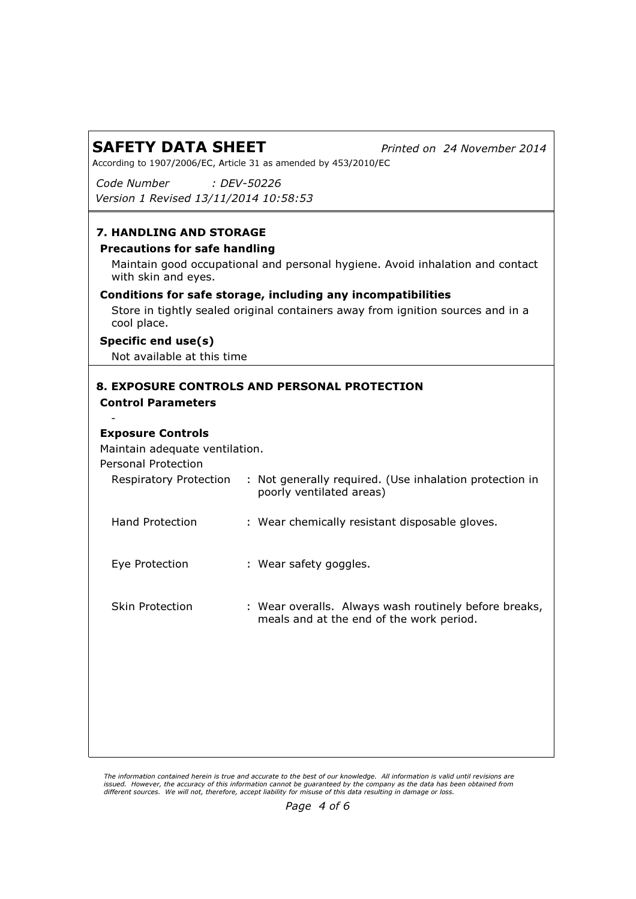Printed on 24 November 2014

According to 1907/2006/EC, Article 31 as amended by 453/2010/EC

Code Number Version 1 Revised 13/11/2014 10:58:53 : DEV-50226

## 7. HANDLING AND STORAGE

#### Precautions for safe handling

Maintain good occupational and personal hygiene. Avoid inhalation and contact with skin and eyes.

### Conditions for safe storage, including any incompatibilities

Store in tightly sealed original containers away from ignition sources and in a cool place.

#### Specific end use(s)

Not available at this time

### 8. EXPOSURE CONTROLS AND PERSONAL PROTECTION Control Parameters

### Exposure Controls

-

Maintain adequate ventilation.

Personal Protection

| <b>Respiratory Protection</b> | : Not generally required. (Use inhalation protection in<br>poorly ventilated areas)               |
|-------------------------------|---------------------------------------------------------------------------------------------------|
| Hand Protection               | : Wear chemically resistant disposable gloves.                                                    |
| Eye Protection                | : Wear safety goggles.                                                                            |
| Skin Protection               | : Wear overalls. Always wash routinely before breaks,<br>meals and at the end of the work period. |

The information contained herein is true and accurate to the best of our knowledge. All information is valid until revisions are issued. However, the accuracy of this information cannot be guaranteed by the company as the data has been obtained from<br>different sources. We will not, therefore, accept liability for misuse of this data resulting in da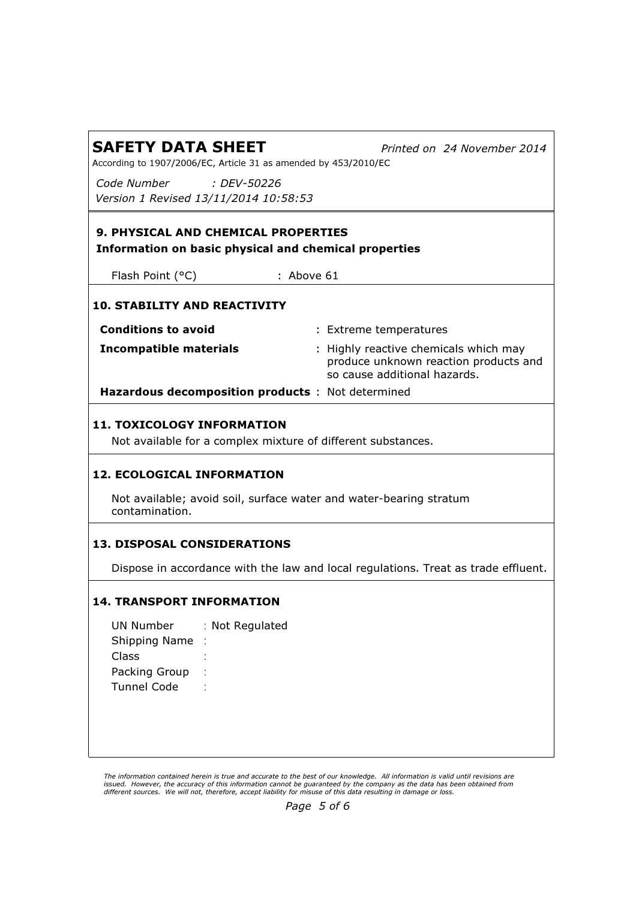Printed on 24 November 2014

According to 1907/2006/EC, Article 31 as amended by 453/2010/EC

Code Number Version 1 Revised 13/11/2014 10:58:53 : DEV-50226

## 9. PHYSICAL AND CHEMICAL PROPERTIES Information on basic physical and chemical properties

Flash Point (°C) : Above 61

## 10. STABILITY AND REACTIVITY

| <b>Conditions to avoid</b>                       | : Extreme temperatures                                                                                         |
|--------------------------------------------------|----------------------------------------------------------------------------------------------------------------|
| Incompatible materials                           | : Highly reactive chemicals which may<br>produce unknown reaction products and<br>so cause additional hazards. |
| Hazardous decomposition products: Not determined |                                                                                                                |

## 11. TOXICOLOGY INFORMATION

Not available for a complex mixture of different substances.

## 12. ECOLOGICAL INFORMATION

Not available; avoid soil, surface water and water-bearing stratum contamination.

## 13. DISPOSAL CONSIDERATIONS

Dispose in accordance with the law and local regulations. Treat as trade effluent.

## 14. TRANSPORT INFORMATION

UN Number : Not Regulated Shipping Name : : Class Packing Group :: Tunnel Code

The information contained herein is true and accurate to the best of our knowledge. All information is valid until revisions are issued. However, the accuracy of this information cannot be guaranteed by the company as the data has been obtained from<br>different sources. We will not, therefore, accept liability for misuse of this data resulting in da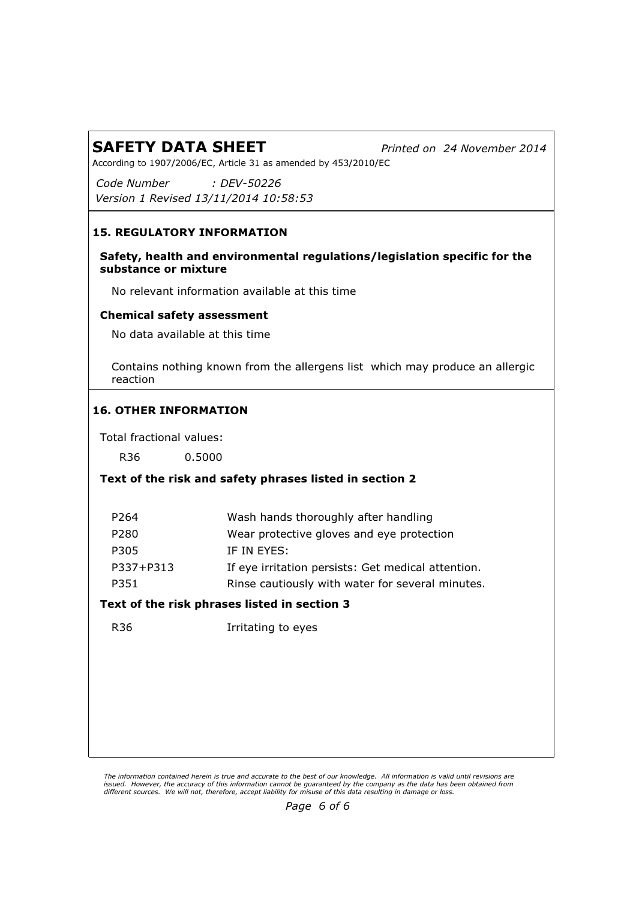Printed on 24 November 2014

According to 1907/2006/EC, Article 31 as amended by 453/2010/EC

Code Number Version 1 Revised 13/11/2014 10:58:53 : DEV-50226

## 15. REGULATORY INFORMATION

## Safety, health and environmental regulations/legislation specific for the substance or mixture

No relevant information available at this time

## Chemical safety assessment

No data available at this time

Contains nothing known from the allergens list which may produce an allergic reaction

## 16. OTHER INFORMATION

Total fractional values:

R36 0.5000

## Text of the risk and safety phrases listed in section 2

| P <sub>264</sub> | Wash hands thoroughly after handling               |
|------------------|----------------------------------------------------|
| P280             | Wear protective gloves and eye protection          |
| P305             | IF IN EYES:                                        |
| P337+P313        | If eye irritation persists: Get medical attention. |
| P351             | Rinse cautiously with water for several minutes.   |
|                  |                                                    |

## Text of the risk phrases listed in section 3

R36 Irritating to eyes

The information contained herein is true and accurate to the best of our knowledge. All information is valid until revisions are issued. However, the accuracy of this information cannot be guaranteed by the company as the data has been obtained from<br>different sources. We will not, therefore, accept liability for misuse of this data resulting in da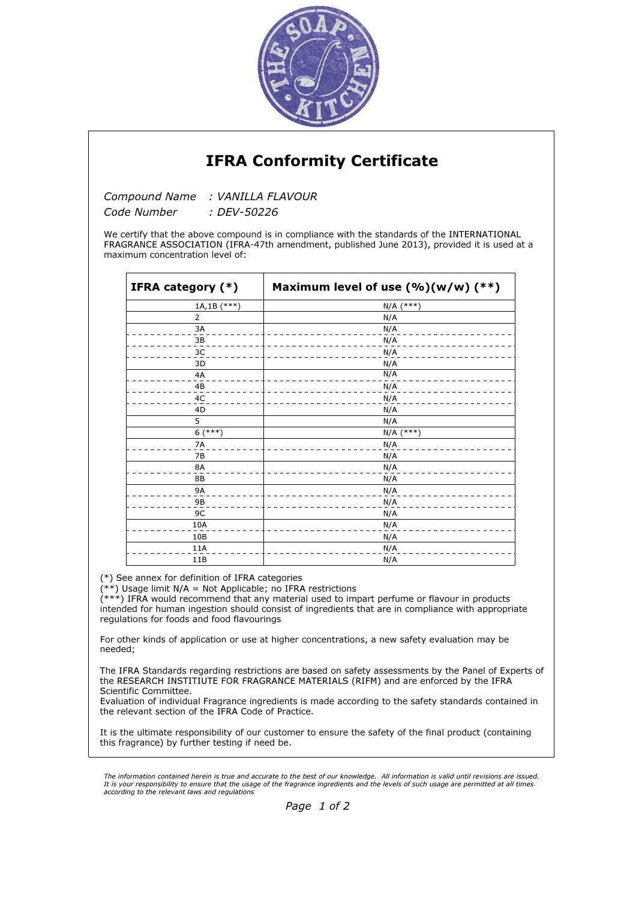

## IFRA Conformity Certificate

Compound Name : VANILLA FLAVOUR

Code Number : DEV-50226

We certify that the above compound is in compliance with the standards of the INTERNATIONAL FRAGRANCE ASSOCIATION (IFRA-47th amendment, published June 2013), provided it is used at a maximum concentration level of:

| IFRA category (*) | Maximum level of use $(\%)(w/w)$ (**) |  |  |
|-------------------|---------------------------------------|--|--|
| $1A,1B$ (***)     | $N/A$ (***)                           |  |  |
| $\overline{2}$    | N/A                                   |  |  |
| 3A                | N/A                                   |  |  |
| 3B                | N/A                                   |  |  |
| 3C                | N/A                                   |  |  |
| 3D                | N/A                                   |  |  |
| 4A                | N/A                                   |  |  |
| 4B                | N/A                                   |  |  |
| 4C                | N/A                                   |  |  |
| 4D                | N/A                                   |  |  |
| 5                 | N/A                                   |  |  |
| $6$ (***)         | $N/A$ (***)                           |  |  |
| <b>7A</b>         | N/A                                   |  |  |
| 7B                | N/A                                   |  |  |
| <b>8A</b>         | N/A                                   |  |  |
| <b>8B</b>         | N/A                                   |  |  |
| <b>9A</b>         | N/A                                   |  |  |
| 9B                | N/A                                   |  |  |
| 9C                | N/A                                   |  |  |
| 10A               | N/A                                   |  |  |
| 10B               | N/A                                   |  |  |
| 11A               | N/A                                   |  |  |
| 11B               | N/A                                   |  |  |

(\*) See annex for definition of IFRA categories

 $(**)$  Usage limit N/A = Not Applicable; no IFRA restrictions

(\*\*\*) IFRA would recommend that any material used to impart perfume or flavour in products intended for human ingestion should consist of ingredients that are in compliance with appropriate regulations for foods and food flavourings

For other kinds of application or use at higher concentrations, a new safety evaluation may be needed;

The IFRA Standards regarding restrictions are based on safety assessments by the Panel of Experts of the RESEARCH INSTITIUTE FOR FRAGRANCE MATERIALS (RIFM) and are enforced by the IFRA Scientific Committee.

Evaluation of individual Fragrance ingredients is made according to the safety standards contained in the relevant section of the IFRA Code of Practice.

It is the ultimate responsibility of our customer to ensure the safety of the final product (containing this fragrance) by further testing if need be.

The information contained herein is true and accurate to the best of our knowledge. All information is valid until revisions are issued. It is your responsibility to ensure that the usage of the fragrance ingredients and the levels of such usage are permitted at all times according to the relevant laws and regulations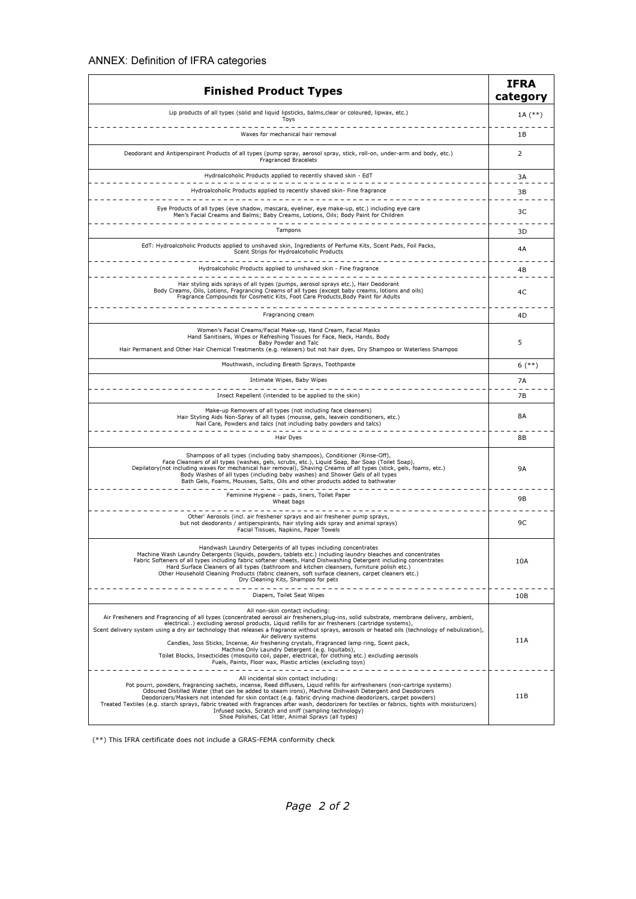| <b>Finished Product Types</b>                                                                                                                                                                                                                                                                                                                                                                                                                                                                                                                                                                                                                                                                                                                                                     | <b>IFRA</b><br>category |
|-----------------------------------------------------------------------------------------------------------------------------------------------------------------------------------------------------------------------------------------------------------------------------------------------------------------------------------------------------------------------------------------------------------------------------------------------------------------------------------------------------------------------------------------------------------------------------------------------------------------------------------------------------------------------------------------------------------------------------------------------------------------------------------|-------------------------|
| Lip products of all types (solid and liquid lipsticks, balms, clear or coloured, lipwax, etc.)<br>Toys                                                                                                                                                                                                                                                                                                                                                                                                                                                                                                                                                                                                                                                                            | 1A $(**)$               |
| Waxes for mechanical hair removal                                                                                                                                                                                                                                                                                                                                                                                                                                                                                                                                                                                                                                                                                                                                                 | 1B                      |
| Deodorant and Antiperspirant Products of all types (pump spray, aerosol spray, stick, roll-on, under-arm and body, etc.)<br>Fragranced Bracelets                                                                                                                                                                                                                                                                                                                                                                                                                                                                                                                                                                                                                                  | 2                       |
| Hydroalcoholic Products applied to recently shaved skin - EdT<br>.                                                                                                                                                                                                                                                                                                                                                                                                                                                                                                                                                                                                                                                                                                                | 3A                      |
| Hydroalcoholic Products applied to recently shaved skin- Fine fragrance<br>______________________________________                                                                                                                                                                                                                                                                                                                                                                                                                                                                                                                                                                                                                                                                 | 3B                      |
| Eye Products of all types (eye shadow, mascara, eyeliner, eye make-up, etc.) including eye care<br>Men's Facial Creams and Balms; Baby Creams, Lotions, Oils; Body Paint for Children                                                                                                                                                                                                                                                                                                                                                                                                                                                                                                                                                                                             | 3C                      |
| Tampons                                                                                                                                                                                                                                                                                                                                                                                                                                                                                                                                                                                                                                                                                                                                                                           | 3D                      |
| EdT: Hydroalcoholic Products applied to unshaved skin, Ingredients of Perfume Kits, Scent Pads, Foil Packs,<br>Scent Strips for Hydroalcoholic Products                                                                                                                                                                                                                                                                                                                                                                                                                                                                                                                                                                                                                           | 4A                      |
| Hydroalcoholic Products applied to unshaved skin - Fine fragrance                                                                                                                                                                                                                                                                                                                                                                                                                                                                                                                                                                                                                                                                                                                 | 4B                      |
| ------------------------------<br>Hair styling aids sprays of all types (pumps, aerosol sprays etc.), Hair Deodorant<br>Body Creams, Oils, Lotions, Fragrancing Creams of all types (except baby creams, lotions and oils)<br>Fragrance Compounds for Cosmetic Kits, Foot Care Products, Body Paint for Adults                                                                                                                                                                                                                                                                                                                                                                                                                                                                    | 4C                      |
| Fragrancing cream                                                                                                                                                                                                                                                                                                                                                                                                                                                                                                                                                                                                                                                                                                                                                                 | 4D                      |
| Women's Facial Creams/Facial Make-up, Hand Cream, Facial Masks<br>Hand Sanitisers, Wipes or Refreshing Tissues for Face, Neck, Hands, Body<br>Baby Powder and Talc<br>Hair Permanent and Other Hair Chemical Treatments (e.g. relaxers) but not hair dyes, Dry Shampoo or Waterless Shampoo                                                                                                                                                                                                                                                                                                                                                                                                                                                                                       | 5                       |
| Mouthwash, including Breath Sprays, Toothpaste                                                                                                                                                                                                                                                                                                                                                                                                                                                                                                                                                                                                                                                                                                                                    | $6$ (**)                |
| Intimate Wipes, Baby Wipes                                                                                                                                                                                                                                                                                                                                                                                                                                                                                                                                                                                                                                                                                                                                                        | 7A                      |
| Insect Repellent (intended to be applied to the skin)                                                                                                                                                                                                                                                                                                                                                                                                                                                                                                                                                                                                                                                                                                                             | <b>7B</b>               |
| Make-up Removers of all types (not including face cleansers)<br>Hair Styling Aids Non-Spray of all types (mousse, gels, leavein conditioners, etc.)<br>Nail Care, Powders and talcs (not including baby powders and talcs)                                                                                                                                                                                                                                                                                                                                                                                                                                                                                                                                                        | 8A                      |
| Hair Dyes                                                                                                                                                                                                                                                                                                                                                                                                                                                                                                                                                                                                                                                                                                                                                                         | 8Β                      |
| Shampoos of all types (including baby shampoos), Conditioner (Rinse-Off),<br>Face Cleansers of all types (washes, gels, scrubs, etc.), Liquid Soap, Bar Soap (Toilet Soap),<br>Depilatory(not including waxes for mechanical hair removal), Shaving Creams of all types (stick, gels, foams, etc.)<br>Body Washes of all types (including baby washes) and Shower Gels of all types<br>Bath Gels, Foams, Mousses, Salts, Oils and other products added to bathwater<br>--------------                                                                                                                                                                                                                                                                                             | <b>9A</b>               |
| Feminine Hygiene - pads, liners, Toilet Paper<br>Wheat bags                                                                                                                                                                                                                                                                                                                                                                                                                                                                                                                                                                                                                                                                                                                       | 9Β                      |
| Other' Aerosols (incl. air freshener sprays and air freshener pump sprays,<br>but not deodorants / antiperspirants, hair styling aids spray and animal sprays)<br>Facial Tissues, Napkins, Paper Towels                                                                                                                                                                                                                                                                                                                                                                                                                                                                                                                                                                           | 9C                      |
| Handwash Laundry Detergents of all types including concentrates<br>Machine Wash Laundry Detergents (liquids, powders, tablets etc.) including laundry bleaches and concentrates<br>Fabric Softeners of all types including fabric softener sheets, Hand Dishwashing Detergent including concentrates<br>Hard Surface Cleaners of all types (bathroom and kitchen cleansers, furniture polish etc.)<br>Other Household Cleaning Products (fabric cleaners, soft surface cleaners, carpet cleaners etc.)<br>Dry Cleaning Kits, Shampoo for pets                                                                                                                                                                                                                                     | 10A                     |
| Diapers, Toilet Seat Wipes                                                                                                                                                                                                                                                                                                                                                                                                                                                                                                                                                                                                                                                                                                                                                        | 10B                     |
| All non-skin contact including:<br>Air Fresheners and Fragrancing of all types (concentrated aerosol air fresheners, plug-ins, solid substrate, membrane delivery, ambient,<br>electrical) excluding aerosol products, Liquid refills for air fresheners (cartridge systems),<br>Scent delivery system using a dry air technology that releases a fragrance without sprays, aerosols or heated oils (technology of nebulization),<br>Air delivery systems<br>Candles, Joss Sticks, Incense, Air freshening crystals, Fragranced lamp ring, Scent pack,<br>Machine Only Laundry Detergent (e.g. liquitabs),<br>Toilet Blocks, Insecticides (mosquito coil, paper, electrical, for clothing etc.) excluding aerosols<br>Fuels, Paints, Floor wax, Plastic articles (excluding toys) | 11A                     |
| All incidental skin contact including:<br>Pot pourri, powders, fragrancing sachets, incense, Reed diffusers, Liquid refills for airfresheners (non-cartrige systems)<br>Odoured Distilled Water (that can be added to steam irons), Machine Dishwash Detergent and Deodorizers<br>Deodorizers/Maskers not intended for skin contact (e.g. fabric drying machine deodorizers, carpet powders)<br>Treated Textiles (e.g. starch sprays, fabric treated with fragrances after wash, deodorizers for textiles or fabrics, tights with moisturizers)<br>Infused socks, Scratch and sniff (sampling technology)<br>Shoe Polishes, Cat litter, Animal Sprays (all types)                                                                                                                 | 11B                     |

(\*\*) This IFRA certificate does not include a GRAS-FEMA conformity check